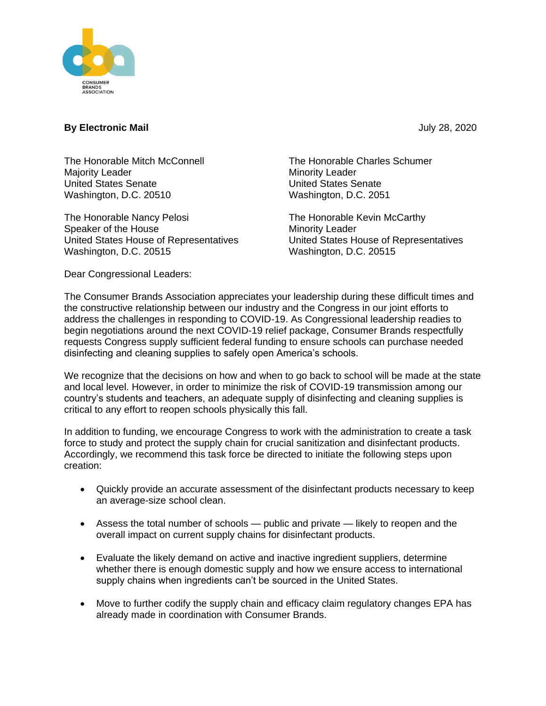

## **By Electronic Mail** July 28, 2020

The Honorable Mitch McConnell Majority Leader United States Senate Washington, D.C. 20510

The Honorable Nancy Pelosi Speaker of the House United States House of Representatives Washington, D.C. 20515

The Honorable Charles Schumer Minority Leader United States Senate Washington, D.C. 2051

The Honorable Kevin McCarthy Minority Leader United States House of Representatives Washington, D.C. 20515

Dear Congressional Leaders:

The Consumer Brands Association appreciates your leadership during these difficult times and the constructive relationship between our industry and the Congress in our joint efforts to address the challenges in responding to COVID-19. As Congressional leadership readies to begin negotiations around the next COVID-19 relief package, Consumer Brands respectfully requests Congress supply sufficient federal funding to ensure schools can purchase needed disinfecting and cleaning supplies to safely open America's schools.

We recognize that the decisions on how and when to go back to school will be made at the state and local level. However, in order to minimize the risk of COVID-19 transmission among our country's students and teachers, an adequate supply of disinfecting and cleaning supplies is critical to any effort to reopen schools physically this fall.

In addition to funding, we encourage Congress to work with the administration to create a task force to study and protect the supply chain for crucial sanitization and disinfectant products. Accordingly, we recommend this task force be directed to initiate the following steps upon creation:

- Quickly provide an accurate assessment of the disinfectant products necessary to keep an average-size school clean.
- Assess the total number of schools public and private likely to reopen and the overall impact on current supply chains for disinfectant products.
- Evaluate the likely demand on active and inactive ingredient suppliers, determine whether there is enough domestic supply and how we ensure access to international supply chains when ingredients can't be sourced in the United States.
- Move to further codify the supply chain and efficacy claim regulatory changes EPA has already made in coordination with Consumer Brands.